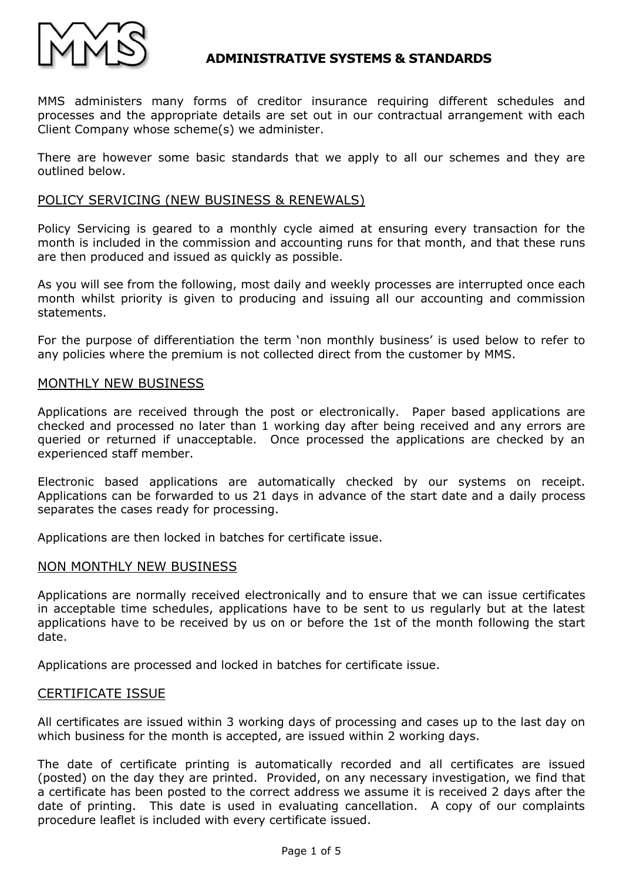

MMS administers many forms of creditor insurance requiring different schedules and processes and the appropriate details are set out in our contractual arrangement with each Client Company whose scheme(s) we administer.

There are however some basic standards that we apply to all our schemes and they are outlined below.

## POLICY SERVICING (NEW BUSINESS & RENEWALS)

Policy Servicing is geared to a monthly cycle aimed at ensuring every transaction for the month is included in the commission and accounting runs for that month, and that these runs are then produced and issued as quickly as possible.

As you will see from the following, most daily and weekly processes are interrupted once each month whilst priority is given to producing and issuing all our accounting and commission statements.

For the purpose of differentiation the term 'non monthly business' is used below to refer to any policies where the premium is not collected direct from the customer by MMS.

## MONTHLY NEW BUSINESS

Applications are received through the post or electronically. Paper based applications are checked and processed no later than 1 working day after being received and any errors are queried or returned if unacceptable. Once processed the applications are checked by an experienced staff member.

Electronic based applications are automatically checked by our systems on receipt. Applications can be forwarded to us 21 days in advance of the start date and a daily process separates the cases ready for processing.

Applications are then locked in batches for certificate issue.

### NON MONTHLY NEW BUSINESS

Applications are normally received electronically and to ensure that we can issue certificates in acceptable time schedules, applications have to be sent to us regularly but at the latest applications have to be received by us on or before the 1st of the month following the start date.

Applications are processed and locked in batches for certificate issue.

### CERTIFICATE ISSUE

All certificates are issued within 3 working days of processing and cases up to the last day on which business for the month is accepted, are issued within 2 working days.

The date of certificate printing is automatically recorded and all certificates are issued (posted) on the day they are printed. Provided, on any necessary investigation, we find that a certificate has been posted to the correct address we assume it is received 2 days after the date of printing. This date is used in evaluating cancellation. A copy of our complaints procedure leaflet is included with every certificate issued.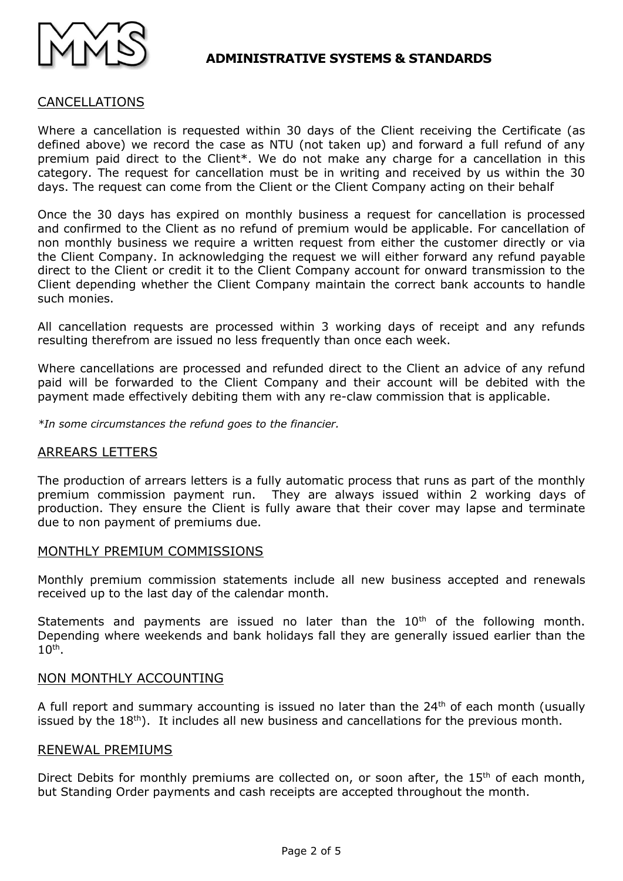

# CANCELLATIONS

Where a cancellation is requested within 30 days of the Client receiving the Certificate (as defined above) we record the case as NTU (not taken up) and forward a full refund of any premium paid direct to the Client\*. We do not make any charge for a cancellation in this category. The request for cancellation must be in writing and received by us within the 30 days. The request can come from the Client or the Client Company acting on their behalf

Once the 30 days has expired on monthly business a request for cancellation is processed and confirmed to the Client as no refund of premium would be applicable. For cancellation of non monthly business we require a written request from either the customer directly or via the Client Company. In acknowledging the request we will either forward any refund payable direct to the Client or credit it to the Client Company account for onward transmission to the Client depending whether the Client Company maintain the correct bank accounts to handle such monies.

All cancellation requests are processed within 3 working days of receipt and any refunds resulting therefrom are issued no less frequently than once each week.

Where cancellations are processed and refunded direct to the Client an advice of any refund paid will be forwarded to the Client Company and their account will be debited with the payment made effectively debiting them with any re-claw commission that is applicable.

*\*In some circumstances the refund goes to the financier.*

### ARREARS LETTERS

The production of arrears letters is a fully automatic process that runs as part of the monthly premium commission payment run. They are always issued within 2 working days of production. They ensure the Client is fully aware that their cover may lapse and terminate due to non payment of premiums due.

#### MONTHLY PREMIUM COMMISSIONS

Monthly premium commission statements include all new business accepted and renewals received up to the last day of the calendar month.

Statements and payments are issued no later than the  $10<sup>th</sup>$  of the following month. Depending where weekends and bank holidays fall they are generally issued earlier than the  $10<sup>th</sup>$ .

### NON MONTHLY ACCOUNTING

A full report and summary accounting is issued no later than the  $24<sup>th</sup>$  of each month (usually issued by the 18<sup>th</sup>). It includes all new business and cancellations for the previous month.

#### RENEWAL PREMIUMS

Direct Debits for monthly premiums are collected on, or soon after, the 15<sup>th</sup> of each month, but Standing Order payments and cash receipts are accepted throughout the month.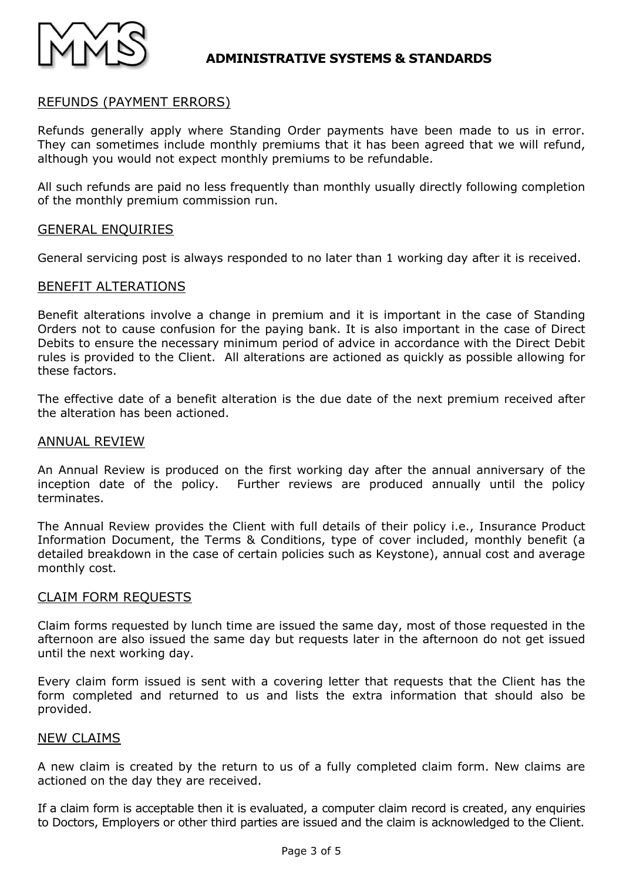

# REFUNDS (PAYMENT ERRORS)

Refunds generally apply where Standing Order payments have been made to us in error. They can sometimes include monthly premiums that it has been agreed that we will refund, although you would not expect monthly premiums to be refundable.

All such refunds are paid no less frequently than monthly usually directly following completion of the monthly premium commission run.

### GENERAL ENQUIRIES

General servicing post is always responded to no later than 1 working day after it is received.

#### BENEFIT ALTERATIONS

Benefit alterations involve a change in premium and it is important in the case of Standing Orders not to cause confusion for the paying bank. It is also important in the case of Direct Debits to ensure the necessary minimum period of advice in accordance with the Direct Debit rules is provided to the Client. All alterations are actioned as quickly as possible allowing for these factors.

The effective date of a benefit alteration is the due date of the next premium received after the alteration has been actioned.

#### ANNUAL REVIEW

An Annual Review is produced on the first working day after the annual anniversary of the inception date of the policy. Further reviews are produced annually until the policy terminates.

The Annual Review provides the Client with full details of their policy i.e., Insurance Product Information Document, the Terms & Conditions, type of cover included, monthly benefit (a detailed breakdown in the case of certain policies such as Keystone), annual cost and average monthly cost.

#### CLAIM FORM REQUESTS

Claim forms requested by lunch time are issued the same day, most of those requested in the afternoon are also issued the same day but requests later in the afternoon do not get issued until the next working day.

Every claim form issued is sent with a covering letter that requests that the Client has the form completed and returned to us and lists the extra information that should also be provided.

#### NEW CLAIMS

A new claim is created by the return to us of a fully completed claim form. New claims are actioned on the day they are received.

If a claim form is acceptable then it is evaluated, a computer claim record is created, any enquiries to Doctors, Employers or other third parties are issued and the claim is acknowledged to the Client.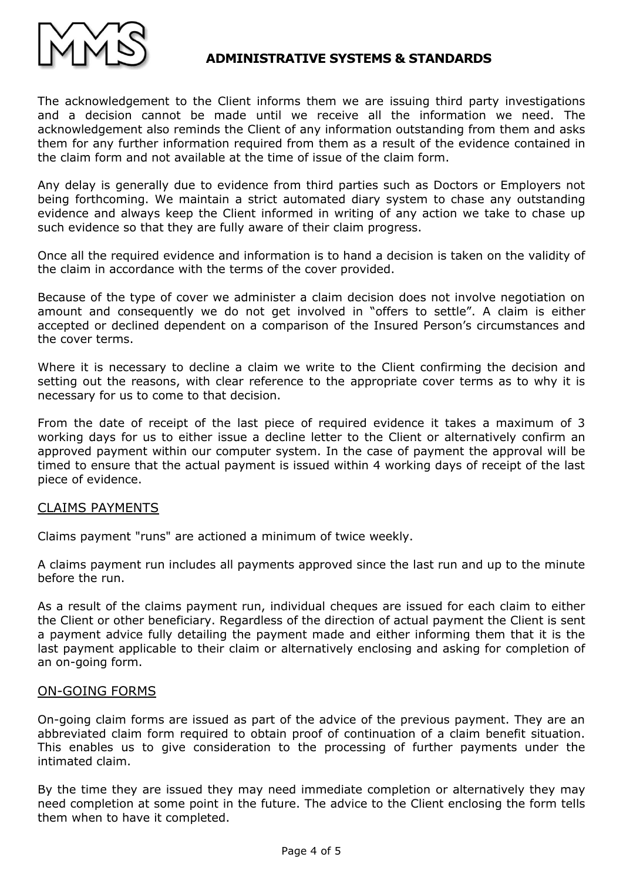

The acknowledgement to the Client informs them we are issuing third party investigations and a decision cannot be made until we receive all the information we need. The acknowledgement also reminds the Client of any information outstanding from them and asks them for any further information required from them as a result of the evidence contained in the claim form and not available at the time of issue of the claim form.

Any delay is generally due to evidence from third parties such as Doctors or Employers not being forthcoming. We maintain a strict automated diary system to chase any outstanding evidence and always keep the Client informed in writing of any action we take to chase up such evidence so that they are fully aware of their claim progress.

Once all the required evidence and information is to hand a decision is taken on the validity of the claim in accordance with the terms of the cover provided.

Because of the type of cover we administer a claim decision does not involve negotiation on amount and consequently we do not get involved in "offers to settle". A claim is either accepted or declined dependent on a comparison of the Insured Person's circumstances and the cover terms.

Where it is necessary to decline a claim we write to the Client confirming the decision and setting out the reasons, with clear reference to the appropriate cover terms as to why it is necessary for us to come to that decision.

From the date of receipt of the last piece of required evidence it takes a maximum of 3 working days for us to either issue a decline letter to the Client or alternatively confirm an approved payment within our computer system. In the case of payment the approval will be timed to ensure that the actual payment is issued within 4 working days of receipt of the last piece of evidence.

# CLAIMS PAYMENTS

Claims payment "runs" are actioned a minimum of twice weekly.

A claims payment run includes all payments approved since the last run and up to the minute before the run.

As a result of the claims payment run, individual cheques are issued for each claim to either the Client or other beneficiary. Regardless of the direction of actual payment the Client is sent a payment advice fully detailing the payment made and either informing them that it is the last payment applicable to their claim or alternatively enclosing and asking for completion of an on-going form.

### ON-GOING FORMS

On-going claim forms are issued as part of the advice of the previous payment. They are an abbreviated claim form required to obtain proof of continuation of a claim benefit situation. This enables us to give consideration to the processing of further payments under the intimated claim.

By the time they are issued they may need immediate completion or alternatively they may need completion at some point in the future. The advice to the Client enclosing the form tells them when to have it completed.